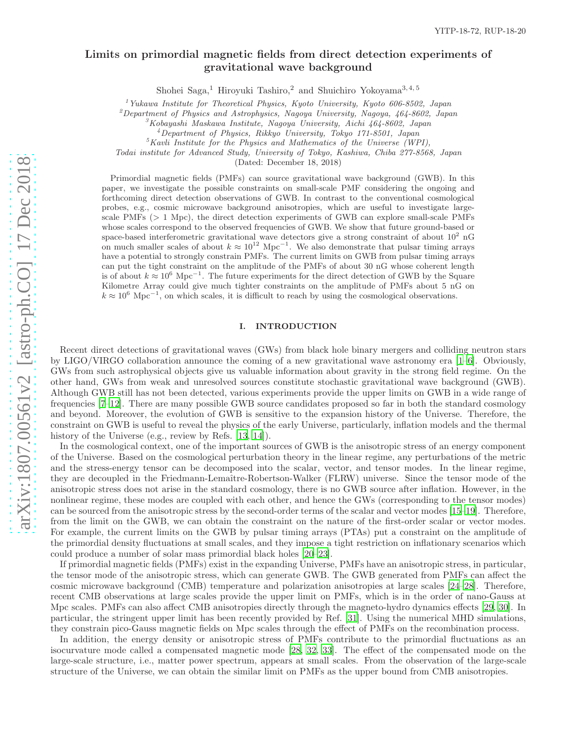# Limits on primordial magnetic fields from direct detection experiments of gravitational wave background

Shohei Saga,<sup>1</sup> Hiroyuki Tashiro,<sup>2</sup> and Shuichiro Yokoyama<sup>3, 4, 5</sup>

<sup>1</sup>Yukawa Institute for Theoretical Physics, Kyoto University, Kyoto 606-8502, Japan

<sup>2</sup>Department of Physics and Astrophysics, Nagoya University, Nagoya, 464-8602, Japan

 ${}^{3}$ Kobayashi Maskawa Institute, Nagoya University, Aichi 464-8602, Japan

<sup>4</sup>Department of Physics, Rikkyo University, Tokyo 171-8501, Japan

 ${}^{5}$ Kavli Institute for the Physics and Mathematics of the Universe (WPI),

Todai institute for Advanced Study, University of Tokyo, Kashiwa, Chiba 277-8568, Japan

(Dated: December 18, 2018)

Primordial magnetic fields (PMFs) can source gravitational wave background (GWB). In this paper, we investigate the possible constraints on small-scale PMF considering the ongoing and forthcoming direct detection observations of GWB. In contrast to the conventional cosmological probes, e.g., cosmic microwave background anisotropies, which are useful to investigate largescale PMFs  $(> 1 \text{ Mpc})$ , the direct detection experiments of GWB can explore small-scale PMFs whose scales correspond to the observed frequencies of GWB. We show that future ground-based or space-based interferometric gravitational wave detectors give a strong constraint of about  $10^2$  nG on much smaller scales of about  $k \approx 10^{12}$  Mpc<sup>-1</sup>. We also demonstrate that pulsar timing arrays have a potential to strongly constrain PMFs. The current limits on GWB from pulsar timing arrays can put the tight constraint on the amplitude of the PMFs of about 30 nG whose coherent length is of about  $k \approx 10^6$  Mpc<sup>-1</sup>. The future experiments for the direct detection of GWB by the Square Kilometre Array could give much tighter constraints on the amplitude of PMFs about 5 nG on  $k \approx 10^6$  Mpc<sup>-1</sup>, on which scales, it is difficult to reach by using the cosmological observations.

## I. INTRODUCTION

Recent direct detections of gravitational waves (GWs) from black hole binary mergers and colliding neutron stars by LIGO/VIRGO collaboration announce the coming of a new gravitational wave astronomy era [\[1](#page-6-0)[–6\]](#page-6-1). Obviously, GWs from such astrophysical objects give us valuable information about gravity in the strong field regime. On the other hand, GWs from weak and unresolved sources constitute stochastic gravitational wave background (GWB). Although GWB still has not been detected, various experiments provide the upper limits on GWB in a wide range of frequencies [\[7](#page-6-2)[–12\]](#page-6-3). There are many possible GWB source candidates proposed so far in both the standard cosmology and beyond. Moreover, the evolution of GWB is sensitive to the expansion history of the Universe. Therefore, the constraint on GWB is useful to reveal the physics of the early Universe, particularly, inflation models and the thermal history of the Universe (e.g., review by Refs. [\[13,](#page-6-4) [14\]](#page-6-5)).

In the cosmological context, one of the important sources of GWB is the anisotropic stress of an energy component of the Universe. Based on the cosmological perturbation theory in the linear regime, any perturbations of the metric and the stress-energy tensor can be decomposed into the scalar, vector, and tensor modes. In the linear regime, they are decoupled in the Friedmann-Lemaître-Robertson-Walker (FLRW) universe. Since the tensor mode of the anisotropic stress does not arise in the standard cosmology, there is no GWB source after inflation. However, in the nonlinear regime, these modes are coupled with each other, and hence the GWs (corresponding to the tensor modes) can be sourced from the anisotropic stress by the second-order terms of the scalar and vector modes [\[15](#page-6-6)[–19\]](#page-7-0). Therefore, from the limit on the GWB, we can obtain the constraint on the nature of the first-order scalar or vector modes. For example, the current limits on the GWB by pulsar timing arrays (PTAs) put a constraint on the amplitude of the primordial density fluctuations at small scales, and they impose a tight restriction on inflationary scenarios which could produce a number of solar mass primordial black holes [\[20](#page-7-1)[–23](#page-7-2)].

If primordial magnetic fields (PMFs) exist in the expanding Universe, PMFs have an anisotropic stress, in particular, the tensor mode of the anisotropic stress, which can generate GWB. The GWB generated from PMFs can affect the cosmic microwave background (CMB) temperature and polarization anisotropies at large scales [\[24](#page-7-3)[–28](#page-7-4)]. Therefore, recent CMB observations at large scales provide the upper limit on PMFs, which is in the order of nano-Gauss at Mpc scales. PMFs can also affect CMB anisotropies directly through the magneto-hydro dynamics effects [\[29,](#page-7-5) [30](#page-7-6)]. In particular, the stringent upper limit has been recently provided by Ref. [\[31\]](#page-7-7). Using the numerical MHD simulations, they constrain pico-Gauss magnetic fields on Mpc scales through the effect of PMFs on the recombination process.

In addition, the energy density or anisotropic stress of PMFs contribute to the primordial fluctuations as an isocurvature mode called a compensated magnetic mode [\[28](#page-7-4), [32](#page-7-8), [33\]](#page-7-9). The effect of the compensated mode on the large-scale structure, i.e., matter power spectrum, appears at small scales. From the observation of the large-scale structure of the Universe, we can obtain the similar limit on PMFs as the upper bound from CMB anisotropies.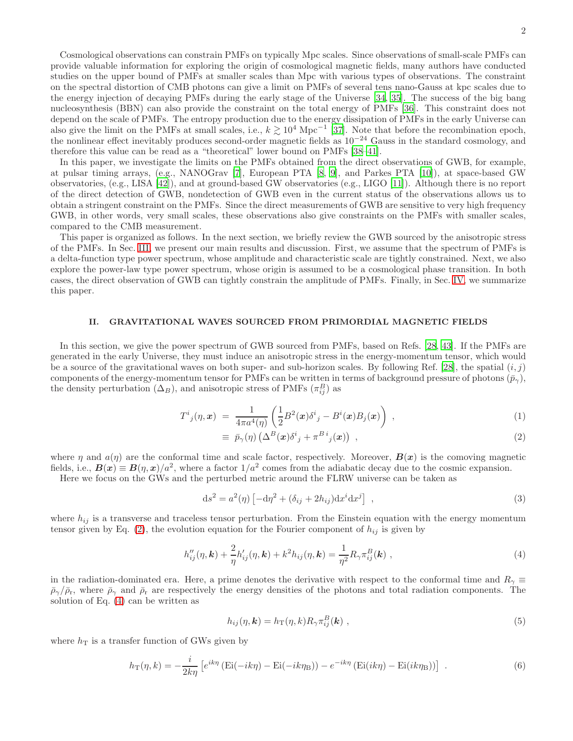Cosmological observations can constrain PMFs on typically Mpc scales. Since observations of small-scale PMFs can provide valuable information for exploring the origin of cosmological magnetic fields, many authors have conducted studies on the upper bound of PMFs at smaller scales than Mpc with various types of observations. The constraint on the spectral distortion of CMB photons can give a limit on PMFs of several tens nano-Gauss at kpc scales due to the energy injection of decaying PMFs during the early stage of the Universe [\[34,](#page-7-10) [35](#page-7-11)]. The success of the big bang nucleosynthesis (BBN) can also provide the constraint on the total energy of PMFs [\[36](#page-7-12)]. This constraint does not depend on the scale of PMFs. The entropy production due to the energy dissipation of PMFs in the early Universe can also give the limit on the PMFs at small scales, i.e.,  $k \geq 10^4$  Mpc<sup>-1</sup> [\[37](#page-7-13)]. Note that before the recombination epoch, the nonlinear effect inevitably produces second-order magnetic fields as  $10^{-24}$  Gauss in the standard cosmology, and therefore this value can be read as a "theoretical" lower bound on PMFs [\[38](#page-7-14)[–41\]](#page-7-15).

In this paper, we investigate the limits on the PMFs obtained from the direct observations of GWB, for example, at pulsar timing arrays, (e.g., NANOGrav [\[7](#page-6-2)], European PTA [\[8](#page-6-7), [9](#page-6-8)], and Parkes PTA [\[10\]](#page-6-9)), at space-based GW observatories, (e.g., LISA [\[42](#page-7-16)]), and at ground-based GW observatories (e.g., LIGO [\[11\]](#page-6-10)). Although there is no report of the direct detection of GWB, nondetection of GWB even in the current status of the observations allows us to obtain a stringent constraint on the PMFs. Since the direct measurements of GWB are sensitive to very high frequency GWB, in other words, very small scales, these observations also give constraints on the PMFs with smaller scales, compared to the CMB measurement.

This paper is organized as follows. In the next section, we briefly review the GWB sourced by the anisotropic stress of the PMFs. In Sec. [III,](#page-3-0) we present our main results and discussion. First, we assume that the spectrum of PMFs is a delta-function type power spectrum, whose amplitude and characteristic scale are tightly constrained. Next, we also explore the power-law type power spectrum, whose origin is assumed to be a cosmological phase transition. In both cases, the direct observation of GWB can tightly constrain the amplitude of PMFs. Finally, in Sec. [IV,](#page-6-11) we summarize this paper.

# II. GRAVITATIONAL WAVES SOURCED FROM PRIMORDIAL MAGNETIC FIELDS

In this section, we give the power spectrum of GWB sourced from PMFs, based on Refs. [\[28](#page-7-4), [43](#page-7-17)]. If the PMFs are generated in the early Universe, they must induce an anisotropic stress in the energy-momentum tensor, which would be a source of the gravitational waves on both super- and sub-horizon scales. By following Ref. [\[28\]](#page-7-4), the spatial  $(i, j)$ components of the energy-momentum tensor for PMFs can be written in terms of background pressure of photons  $(\bar{p}_{\gamma})$ , the density perturbation  $(\Delta_B)$ , and anisotropic stress of PMFs  $(\pi_{ij}^B)$  as

<span id="page-1-0"></span>
$$
T^i{}_j(\eta,\boldsymbol{x})\;=\;\frac{1}{4\pi a^4(\eta)}\left(\frac{1}{2}B^2(\boldsymbol{x})\delta^i{}_j-B^i(\boldsymbol{x})B_j(\boldsymbol{x})\right)\;, \tag{1}
$$

$$
\equiv \bar{p}_{\gamma}(\eta) \left( \Delta^{B}(\boldsymbol{x}) \delta^{i}{}_{j} + \pi^{B}{}^{i}{}_{j}(\boldsymbol{x}) \right) , \qquad (2)
$$

where  $\eta$  and  $a(\eta)$  are the conformal time and scale factor, respectively. Moreover,  $\mathbf{B}(\boldsymbol{x})$  is the comoving magnetic fields, i.e.,  $B(x) \equiv B(\eta, x)/a^2$ , where a factor  $1/a^2$  comes from the adiabatic decay due to the cosmic expansion.

Here we focus on the GWs and the perturbed metric around the FLRW universe can be taken as

$$
ds2 = a2(\eta) \left[ -d\eta2 + (\delta_{ij} + 2h_{ij})dxi dxj \right],
$$
\n(3)

where  $h_{ij}$  is a transverse and traceless tensor perturbation. From the Einstein equation with the energy momentum tensor given by Eq. [\(2\)](#page-1-0), the evolution equation for the Fourier component of  $h_{ij}$  is given by

<span id="page-1-1"></span>
$$
h_{ij}''(\eta, \mathbf{k}) + \frac{2}{\eta} h_{ij}'(\eta, \mathbf{k}) + k^2 h_{ij}(\eta, \mathbf{k}) = \frac{1}{\eta^2} R_{\gamma} \pi_{ij}^B(\mathbf{k}) ,
$$
 (4)

in the radiation-dominated era. Here, a prime denotes the derivative with respect to the conformal time and  $R_\gamma \equiv$  $\bar{\rho}_{\gamma}/\bar{\rho}_{\rm r}$ , where  $\bar{\rho}_{\gamma}$  and  $\bar{\rho}_{\rm r}$  are respectively the energy densities of the photons and total radiation components. The solution of Eq. [\(4\)](#page-1-1) can be written as

<span id="page-1-2"></span>
$$
h_{ij}(\eta, \mathbf{k}) = h_{\mathrm{T}}(\eta, k) R_{\gamma} \pi_{ij}^{B}(\mathbf{k}) , \qquad (5)
$$

where  $h_T$  is a transfer function of GWs given by

<span id="page-1-3"></span>
$$
h_{\rm T}(\eta, k) = -\frac{i}{2k\eta} \left[ e^{ik\eta} \left( \text{Ei}(-ik\eta) - \text{Ei}(-ik\eta_{\rm B}) \right) - e^{-ik\eta} \left( \text{Ei}(ik\eta) - \text{Ei}(ik\eta_{\rm B}) \right) \right] \tag{6}
$$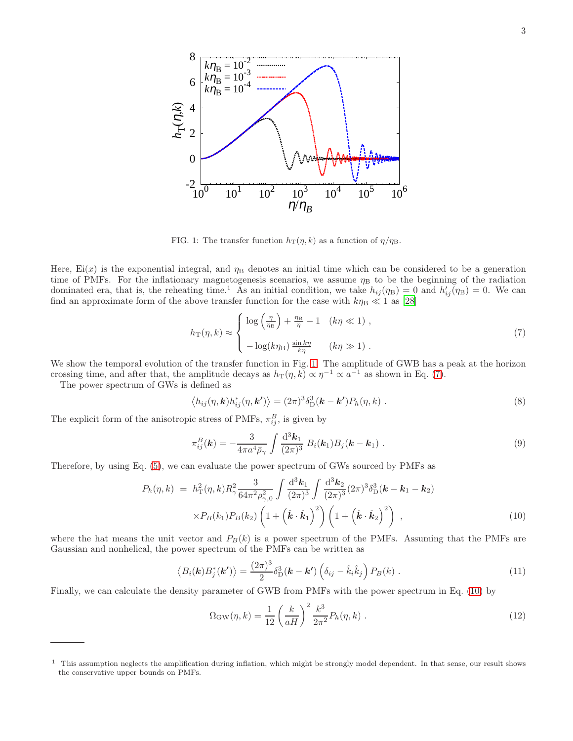

<span id="page-2-0"></span>FIG. 1: The transfer function  $h_T(\eta, k)$  as a function of  $\eta/\eta_B$ .

Here,  $Ei(x)$  is the exponential integral, and  $\eta_B$  denotes an initial time which can be considered to be a generation time of PMFs. For the inflationary magnetogenesis scenarios, we assume  $\eta_B$  to be the beginning of the radiation dominated era, that is, the reheating time.<sup>1</sup> As an initial condition, we take  $h_{ij}(\eta_B) = 0$  and  $h'_{ij}(\eta_B) = 0$ . We can find an approximate form of the above transfer function for the case with  $k\eta_{\rm B} \ll 1$  as [\[28](#page-7-4)]

<span id="page-2-1"></span>
$$
h_{\rm T}(\eta, k) \approx \begin{cases} \log\left(\frac{\eta}{\eta_{\rm B}}\right) + \frac{\eta_{\rm B}}{\eta} - 1 & (k\eta \ll 1), \\ -\log(k\eta_{\rm B}) \frac{\sin k\eta}{k\eta} & (k\eta \gg 1). \end{cases}
$$
 (7)

We show the temporal evolution of the transfer function in Fig. [1.](#page-2-0) The amplitude of GWB has a peak at the horizon crossing time, and after that, the amplitude decays as  $h_T(\eta, k) \propto \eta^{-1} \propto a^{-1}$  as shown in Eq. [\(7\)](#page-2-1).

The power spectrum of GWs is defined as

$$
\langle h_{ij}(\eta, \mathbf{k}) h_{ij}^*(\eta, \mathbf{k'}) \rangle = (2\pi)^3 \delta_{\mathcal{D}}^3(\mathbf{k} - \mathbf{k'}) P_h(\eta, k) . \tag{8}
$$

The explicit form of the anisotropic stress of PMFs,  $\pi_{ij}^B$ , is given by

$$
\pi_{ij}^B(\mathbf{k}) = -\frac{3}{4\pi a^4 \bar{\rho}_{\gamma}} \int \frac{\mathrm{d}^3 \mathbf{k}_1}{(2\pi)^3} B_i(\mathbf{k}_1) B_j(\mathbf{k} - \mathbf{k}_1) \,. \tag{9}
$$

Therefore, by using Eq. [\(5\)](#page-1-2), we can evaluate the power spectrum of GWs sourced by PMFs as

<span id="page-2-2"></span>
$$
P_h(\eta, k) = h_{\rm T}^2(\eta, k) R_\gamma^2 \frac{3}{64\pi^2 \rho_{\gamma,0}^2} \int \frac{\mathrm{d}^3 k_1}{(2\pi)^3} \int \frac{\mathrm{d}^3 k_2}{(2\pi)^3} (2\pi)^3 \delta_{\rm D}^3(\mathbf{k} - \mathbf{k}_1 - \mathbf{k}_2) \times P_B(k_1) P_B(k_2) \left( 1 + \left( \hat{\mathbf{k}} \cdot \hat{\mathbf{k}}_1 \right)^2 \right) \left( 1 + \left( \hat{\mathbf{k}} \cdot \hat{\mathbf{k}}_2 \right)^2 \right) , \tag{10}
$$

where the hat means the unit vector and  $P_B(k)$  is a power spectrum of the PMFs. Assuming that the PMFs are Gaussian and nonhelical, the power spectrum of the PMFs can be written as

$$
\langle B_i(\mathbf{k})B_j^*(\mathbf{k'})\rangle = \frac{(2\pi)^3}{2}\delta_{\rm D}^3(\mathbf{k}-\mathbf{k'})\left(\delta_{ij}-\hat{k}_i\hat{k}_j\right)P_B(k) \ . \tag{11}
$$

Finally, we can calculate the density parameter of GWB from PMFs with the power spectrum in Eq. [\(10\)](#page-2-2) by

$$
\Omega_{\rm GW}(\eta, k) = \frac{1}{12} \left( \frac{k}{aH} \right)^2 \frac{k^3}{2\pi^2} P_h(\eta, k) \tag{12}
$$

<sup>&</sup>lt;sup>1</sup> This assumption neglects the amplification during inflation, which might be strongly model dependent. In that sense, our result shows the conservative upper bounds on PMFs.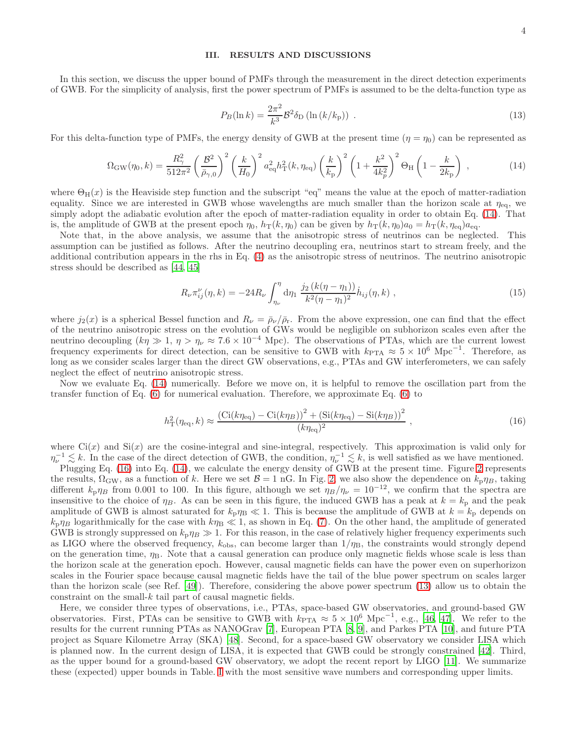#### <span id="page-3-0"></span>III. RESULTS AND DISCUSSIONS

In this section, we discuss the upper bound of PMFs through the measurement in the direct detection experiments of GWB. For the simplicity of analysis, first the power spectrum of PMFs is assumed to be the delta-function type as

<span id="page-3-3"></span>
$$
P_B(\ln k) = \frac{2\pi^2}{k^3} \mathcal{B}^2 \delta_D(\ln (k/k_p)) \tag{13}
$$

For this delta-function type of PMFs, the energy density of GWB at the present time  $(\eta = \eta_0)$  can be represented as

<span id="page-3-1"></span>
$$
\Omega_{\rm GW}(\eta_0, k) = \frac{R_\gamma^2}{512\pi^2} \left(\frac{\mathcal{B}^2}{\bar{\rho}_{\gamma,0}}\right)^2 \left(\frac{k}{H_0}\right)^2 a_{\rm eq}^2 h_{\rm T}^2(k, \eta_{\rm eq}) \left(\frac{k}{k_{\rm p}}\right)^2 \left(1 + \frac{k^2}{4k_p^2}\right)^2 \Theta_{\rm H} \left(1 - \frac{k}{2k_{\rm p}}\right) \,,\tag{14}
$$

where  $\Theta_H(x)$  is the Heaviside step function and the subscript "eq" means the value at the epoch of matter-radiation equality. Since we are interested in GWB whose wavelengths are much smaller than the horizon scale at  $\eta_{eq}$ , we simply adopt the adiabatic evolution after the epoch of matter-radiation equality in order to obtain Eq. [\(14\)](#page-3-1). That is, the amplitude of GWB at the present epoch  $\eta_0$ ,  $h_T(k, \eta_0)$  can be given by  $h_T(k, \eta_0)a_0 = h_T(k, \eta_{eq})a_{eq}$ .

Note that, in the above analysis, we assume that the anisotropic stress of neutrinos can be neglected. This assumption can be justified as follows. After the neutrino decoupling era, neutrinos start to stream freely, and the additional contribution appears in the rhs in Eq. [\(4\)](#page-1-1) as the anisotropic stress of neutrinos. The neutrino anisotropic stress should be described as [\[44,](#page-7-18) [45\]](#page-7-19)

$$
R_{\nu}\pi_{ij}^{\nu}(\eta,k) = -24R_{\nu}\int_{\eta_{\nu}}^{\eta} d\eta_1 \frac{j_2(k(\eta-\eta_1))}{k^2(\eta-\eta_1)^2}\dot{h}_{ij}(\eta,k) , \qquad (15)
$$

where  $j_2(x)$  is a spherical Bessel function and  $R_\nu = \bar{\rho}_\nu/\bar{\rho}_r$ . From the above expression, one can find that the effect of the neutrino anisotropic stress on the evolution of GWs would be negligible on subhorizon scales even after the neutrino decoupling  $(k\eta \gg 1, \eta > \eta_{\nu} \approx 7.6 \times 10^{-4}$  Mpc). The observations of PTAs, which are the current lowest frequency experiments for direct detection, can be sensitive to GWB with  $k_{\text{PTA}} \approx 5 \times 10^6 \text{ Mpc}^{-1}$ . Therefore, as long as we consider scales larger than the direct GW observations, e.g., PTAs and GW interferometers, we can safely neglect the effect of neutrino anisotropic stress.

Now we evaluate Eq. [\(14\)](#page-3-1) numerically. Before we move on, it is helpful to remove the oscillation part from the transfer function of Eq. [\(6\)](#page-1-3) for numerical evaluation. Therefore, we approximate Eq. [\(6\)](#page-1-3) to

<span id="page-3-2"></span>
$$
h_{\rm T}^{2}(\eta_{\rm eq}, k) \approx \frac{\left(\text{Ci}(k\eta_{\rm eq}) - \text{Ci}(k\eta_{B})\right)^{2} + \left(\text{Si}(k\eta_{\rm eq}) - \text{Si}(k\eta_{B})\right)^{2}}{(k\eta_{\rm eq})^{2}} \,, \tag{16}
$$

where  $\text{Ci}(x)$  and  $\text{Si}(x)$  are the cosine-integral and sine-integral, respectively. This approximation is valid only for  $\eta_{\nu}^{-1} \lesssim k$ . In the case of the direct detection of GWB, the condition,  $\eta_{\nu}^{-1} \lesssim k$ , is well satisfied as we have mentioned.

Plugging Eq. [\(16\)](#page-3-2) into Eq. [\(14\)](#page-3-1), we calculate the energy density of GWB at the present time. Figure [2](#page-4-0) represents the results,  $\Omega_{\rm GW}$ , as a function of k. Here we set  $\mathcal{B} = 1$  nG. In Fig. [2,](#page-4-0) we also show the dependence on  $k_p \eta_B$ , taking different  $k_p \eta_B$  from 0.001 to 100. In this figure, although we set  $\eta_B/\eta_{\nu} = 10^{-12}$ , we confirm that the spectra are insensitive to the choice of  $\eta_B$ . As can be seen in this figure, the induced GWB has a peak at  $k = k_p$  and the peak amplitude of GWB is almost saturated for  $k_p \eta_B \ll 1$ . This is because the amplitude of GWB at  $k = k_p$  depends on  $k_{\rm p}\eta_B$  logarithmically for the case with  $k\eta_B \ll 1$ , as shown in Eq. [\(7\)](#page-2-1). On the other hand, the amplitude of generated GWB is strongly suppressed on  $k_p \eta_B \gg 1$ . For this reason, in the case of relatively higher frequency experiments such as LIGO where the observed frequency,  $k_{\text{obs}}$ , can become larger than  $1/\eta_{\text{B}}$ , the constraints would strongly depend on the generation time,  $\eta_B$ . Note that a causal generation can produce only magnetic fields whose scale is less than the horizon scale at the generation epoch. However, causal magnetic fields can have the power even on superhorizon scales in the Fourier space because causal magnetic fields have the tail of the blue power spectrum on scales larger than the horizon scale (see Ref. [\[49](#page-7-20)]). Therefore, considering the above power spectrum [\(13\)](#page-3-3) allow us to obtain the constraint on the small- $k$  tail part of causal magnetic fields.

Here, we consider three types of observations, i.e., PTAs, space-based GW observatories, and ground-based GW observatories. First, PTAs can be sensitive to GWB with  $k_{\text{PTA}} \approx 5 \times 10^6 \text{ Mpc}^{-1}$ , e.g., [\[46,](#page-7-21) [47\]](#page-7-22). We refer to the results for the current running PTAs as NANOGrav [\[7\]](#page-6-2), European PTA [\[8,](#page-6-7) [9\]](#page-6-8), and Parkes PTA [\[10](#page-6-9)], and future PTA project as Square Kilometre Array (SKA) [\[48\]](#page-7-23). Second, for a space-based GW observatory we consider LISA which is planned now. In the current design of LISA, it is expected that GWB could be strongly constrained [\[42\]](#page-7-16). Third, as the upper bound for a ground-based GW observatory, we adopt the recent report by LIGO [\[11\]](#page-6-10). We summarize these (expected) upper bounds in Table. [I](#page-4-1) with the most sensitive wave numbers and corresponding upper limits.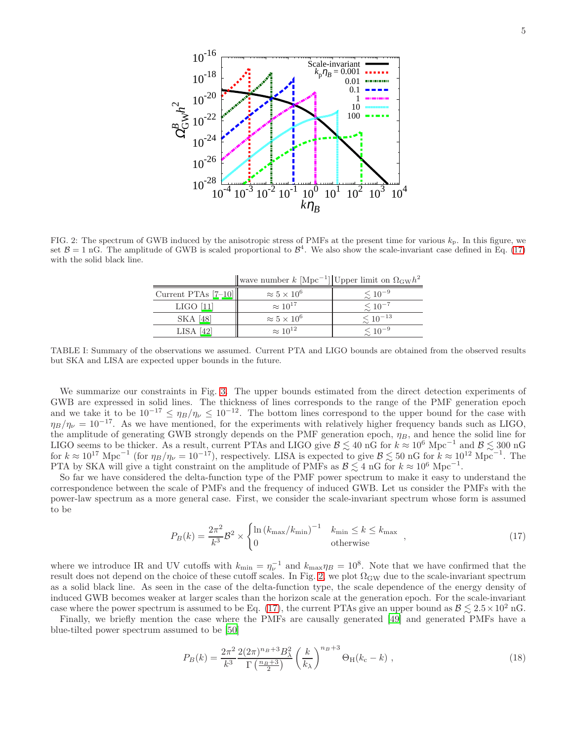

<span id="page-4-0"></span>FIG. 2: The spectrum of GWB induced by the anisotropic stress of PMFs at the present time for various  $k_p$ . In this figure, we set  $\mathcal{B} = 1$  nG. The amplitude of GWB is scaled proportional to  $\mathcal{B}^4$ . We also show the scale-invariant case defined in Eq. [\(17\)](#page-4-2) with the solid black line.

wave number  $k$  [Mpc<sup>-1</sup>] Upper limit on  $\Omega_{\text{GW}}h^2$ 

| Current PTAs $[7-10]$ | $\approx 5 \times 10^6$ | $\lesssim 10^{-9}$  |
|-----------------------|-------------------------|---------------------|
| $LIGO$ [11]           | $\approx 10^{17}$       | $\lesssim 10^{-7}$  |
| SKA [48]              | $\approx 5 \times 10^6$ | $\lesssim 10^{-13}$ |
| $LISA$ [42]           | $\approx 10^{12}$       | $\lesssim 10^{-9}$  |

<span id="page-4-1"></span>TABLE I: Summary of the observations we assumed. Current PTA and LIGO bounds are obtained from the observed results but SKA and LISA are expected upper bounds in the future.

We summarize our constraints in Fig. [3.](#page-5-0) The upper bounds estimated from the direct detection experiments of GWB are expressed in solid lines. The thickness of lines corresponds to the range of the PMF generation epoch and we take it to be  $10^{-17} \le \eta_B/\eta_{\nu} \le 10^{-12}$ . The bottom lines correspond to the upper bound for the case with  $\eta_B/\eta_{\nu} = 10^{-17}$ . As we have mentioned, for the experiments with relatively higher frequency bands such as LIGO, the amplitude of generating GWB strongly depends on the PMF generation epoch,  $\eta_B$ , and hence the solid line for LIGO seems to be thicker. As a result, current PTAs and LIGO give  $\mathcal{B} \lesssim 40$  nG for  $k \approx 10^6$  Mpc<sup>-1</sup> and  $\mathcal{B} \lesssim 300$  nG for  $k \approx 10^{17} \text{ Mpc}^{-1}$  (for  $\eta_B/\eta_{\nu} = 10^{-17}$ ), respectively. LISA is expected to give  $\mathcal{B} \lesssim 50 \text{ nG}$  for  $k \approx 10^{12} \text{ Mpc}^{-1}$ . The PTA by SKA will give a tight constraint on the amplitude of PMFs as  $\mathcal{B} \lesssim 4 \text{ nG}$  for  $k \approx 10^6 \text{ Mpc}^{-1}$ .

So far we have considered the delta-function type of the PMF power spectrum to make it easy to understand the correspondence between the scale of PMFs and the frequency of induced GWB. Let us consider the PMFs with the power-law spectrum as a more general case. First, we consider the scale-invariant spectrum whose form is assumed to be

<span id="page-4-2"></span>
$$
P_B(k) = \frac{2\pi^2}{k^3} \mathcal{B}^2 \times \begin{cases} \ln \left( k_{\text{max}} / k_{\text{min}} \right)^{-1} & k_{\text{min}} \le k \le k_{\text{max}} \\ 0 & \text{otherwise} \end{cases} \tag{17}
$$

where we introduce IR and UV cutoffs with  $k_{\min} = \eta_{\nu}^{-1}$  and  $k_{\max} \eta_B = 10^8$ . Note that we have confirmed that the result does not depend on the choice of these cutoff scales. In Fig. [2,](#page-4-0) we plot  $\Omega_{\rm GW}$  due to the scale-invariant spectrum as a solid black line. As seen in the case of the delta-function type, the scale dependence of the energy density of induced GWB becomes weaker at larger scales than the horizon scale at the generation epoch. For the scale-invariant case where the power spectrum is assumed to be Eq. [\(17\)](#page-4-2), the current PTAs give an upper bound as  $\mathcal{B} \lesssim 2.5 \times 10^2$  nG.

Finally, we briefly mention the case where the PMFs are causally generated [\[49\]](#page-7-20) and generated PMFs have a blue-tilted power spectrum assumed to be [\[50](#page-7-24)]

$$
P_B(k) = \frac{2\pi^2}{k^3} \frac{2(2\pi)^{n_B + 3} B_\lambda^2}{\Gamma(\frac{n_B + 3}{2})} \left(\frac{k}{k_\lambda}\right)^{n_B + 3} \Theta_H(k_c - k) ,
$$
\n(18)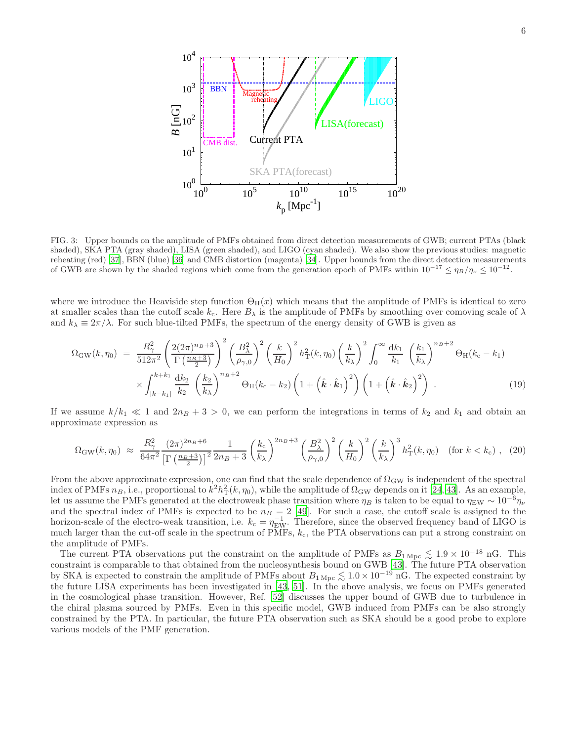

<span id="page-5-0"></span>FIG. 3: Upper bounds on the amplitude of PMFs obtained from direct detection measurements of GWB; current PTAs (black shaded), SKA PTA (gray shaded), LISA (green shaded), and LIGO (cyan shaded). We also show the previous studies: magnetic reheating (red) [\[37](#page-7-13)], BBN (blue) [\[36](#page-7-12)] and CMB distortion (magenta) [\[34](#page-7-10)]. Upper bounds from the direct detection measurements of GWB are shown by the shaded regions which come from the generation epoch of PMFs within  $10^{-17} \leq \eta_B/\eta_{\nu} \leq 10^{-12}$ .

where we introduce the Heaviside step function  $\Theta_H(x)$  which means that the amplitude of PMFs is identical to zero at smaller scales than the cutoff scale  $k_c$ . Here  $B_\lambda$  is the amplitude of PMFs by smoothing over comoving scale of  $\lambda$ and  $k_{\lambda} \equiv 2\pi/\lambda$ . For such blue-tilted PMFs, the spectrum of the energy density of GWB is given as

$$
\Omega_{\rm GW}(k,\eta_0) = \frac{R_{\gamma}^2}{512\pi^2} \left(\frac{2(2\pi)^{n_B+3}}{\Gamma(\frac{n_B+3}{2})}\right)^2 \left(\frac{B_{\lambda}^2}{\rho_{\gamma,0}}\right)^2 \left(\frac{k}{H_0}\right)^2 h_{\rm T}^2(k,\eta_0) \left(\frac{k}{k_{\lambda}}\right)^2 \int_0^{\infty} \frac{dk_1}{k_1} \left(\frac{k_1}{k_{\lambda}}\right)^{n_B+2} \Theta_{\rm H}(k_{\rm c}-k_1) \times \int_{|k-k_1|}^{k+k_1} \frac{dk_2}{k_2} \left(\frac{k_2}{k_{\lambda}}\right)^{n_B+2} \Theta_{\rm H}(k_{\rm c}-k_2) \left(1+\left(\hat{\boldsymbol{k}}\cdot\hat{\boldsymbol{k}}_1\right)^2\right) \left(1+\left(\hat{\boldsymbol{k}}\cdot\hat{\boldsymbol{k}}_2\right)^2\right) . \tag{19}
$$

If we assume  $k/k_1 \ll 1$  and  $2n_B + 3 > 0$ , we can perform the integrations in terms of  $k_2$  and  $k_1$  and obtain an approximate expression as

$$
\Omega_{\rm GW}(k,\eta_0) \approx \frac{R_{\gamma}^2}{64\pi^2} \frac{(2\pi)^{2n_B+6}}{\left[\Gamma\left(\frac{n_B+3}{2}\right)\right]^2} \frac{1}{2n_B+3} \left(\frac{k_c}{k_{\lambda}}\right)^{2n_B+3} \left(\frac{B_{\lambda}^2}{\rho_{\gamma,0}}\right)^2 \left(\frac{k}{H_0}\right)^2 \left(\frac{k}{k_{\lambda}}\right)^3 h_{\rm T}^2(k,\eta_0) \quad \text{(for } k < k_c\text{)}, \tag{20}
$$

From the above approximate expression, one can find that the scale dependence of  $\Omega_{\rm GW}$  is independent of the spectral index of PMFs  $n_B$ , i.e., proportional to  $k^2h_{\rm T}^2(k, \eta_0)$ , while the amplitude of  $\Omega_{\rm GW}$  depends on it [\[24](#page-7-3), [43](#page-7-17)]. As an example, let us assume the PMFs generated at the electroweak phase transition where  $\eta_B$  is taken to be equal to  $\eta_{EW} \sim 10^{-6} \eta_{\nu}$ and the spectral index of PMFs is expected to be  $n_B = 2$  [\[49](#page-7-20)]. For such a case, the cutoff scale is assigned to the horizon-scale of the electro-weak transition, i.e.  $k_c = \eta_{EW}^{-1}$ . Therefore, since the observed frequency band of LIGO is much larger than the cut-off scale in the spectrum of PMFs,  $k<sub>c</sub>$ , the PTA observations can put a strong constraint on the amplitude of PMFs.

The current PTA observations put the constraint on the amplitude of PMFs as  $B_{1 \text{ Mpc}} \lesssim 1.9 \times 10^{-18} \text{ nG}$ . This constraint is comparable to that obtained from the nucleosynthesis bound on GWB [\[43\]](#page-7-17). The future PTA observation by SKA is expected to constrain the amplitude of PMFs about  $B_{1 \text{ Mpc}} \lesssim 1.0 \times 10^{-19} \text{ nG}$ . The expected constraint by the future LISA experiments has been investigated in [\[43,](#page-7-17) [51\]](#page-7-25). In the above analysis, we focus on PMFs generated in the cosmological phase transition. However, Ref. [\[52\]](#page-7-26) discusses the upper bound of GWB due to turbulence in the chiral plasma sourced by PMFs. Even in this specific model, GWB induced from PMFs can be also strongly constrained by the PTA. In particular, the future PTA observation such as SKA should be a good probe to explore various models of the PMF generation.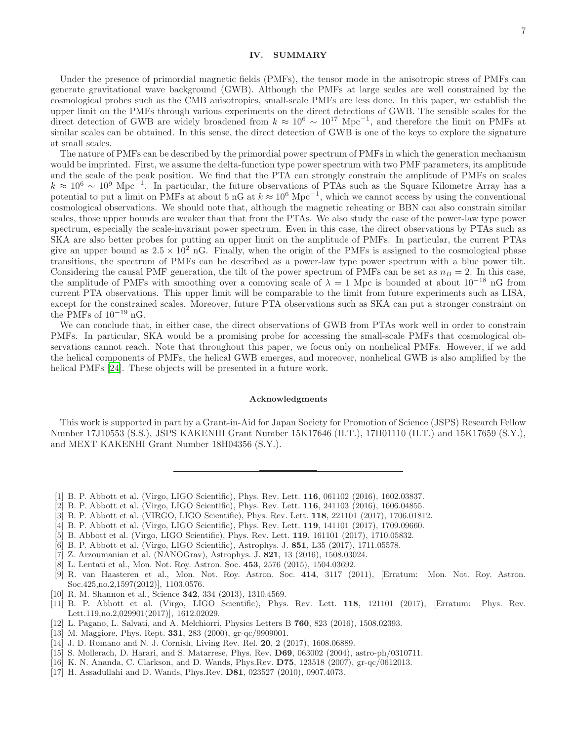## <span id="page-6-11"></span>IV. SUMMARY

Under the presence of primordial magnetic fields (PMFs), the tensor mode in the anisotropic stress of PMFs can generate gravitational wave background (GWB). Although the PMFs at large scales are well constrained by the cosmological probes such as the CMB anisotropies, small-scale PMFs are less done. In this paper, we establish the upper limit on the PMFs through various experiments on the direct detections of GWB. The sensible scales for the direct detection of GWB are widely broadened from  $k \approx 10^6 \sim 10^{17}$  Mpc<sup>-1</sup>, and therefore the limit on PMFs at similar scales can be obtained. In this sense, the direct detection of GWB is one of the keys to explore the signature at small scales.

The nature of PMFs can be described by the primordial power spectrum of PMFs in which the generation mechanism would be imprinted. First, we assume the delta-function type power spectrum with two PMF parameters, its amplitude and the scale of the peak position. We find that the PTA can strongly constrain the amplitude of PMFs on scales  $k \approx 10^6 \sim 10^9$  Mpc<sup>-1</sup>. In particular, the future observations of PTAs such as the Square Kilometre Array has a potential to put a limit on PMFs at about 5 nG at  $k \approx 10^6$  Mpc<sup>-1</sup>, which we cannot access by using the conventional cosmological observations. We should note that, although the magnetic reheating or BBN can also constrain similar scales, those upper bounds are weaker than that from the PTAs. We also study the case of the power-law type power spectrum, especially the scale-invariant power spectrum. Even in this case, the direct observations by PTAs such as SKA are also better probes for putting an upper limit on the amplitude of PMFs. In particular, the current PTAs give an upper bound as  $2.5 \times 10^2$  nG. Finally, when the origin of the PMFs is assigned to the cosmological phase transitions, the spectrum of PMFs can be described as a power-law type power spectrum with a blue power tilt. Considering the causal PMF generation, the tilt of the power spectrum of PMFs can be set as  $n_B = 2$ . In this case, the amplitude of PMFs with smoothing over a comoving scale of  $\lambda = 1$  Mpc is bounded at about 10<sup>-18</sup> nG from current PTA observations. This upper limit will be comparable to the limit from future experiments such as LISA, except for the constrained scales. Moreover, future PTA observations such as SKA can put a stronger constraint on the PMFs of  $10^{-19}$  nG.

We can conclude that, in either case, the direct observations of GWB from PTAs work well in order to constrain PMFs. In particular, SKA would be a promising probe for accessing the small-scale PMFs that cosmological observations cannot reach. Note that throughout this paper, we focus only on nonhelical PMFs. However, if we add the helical components of PMFs, the helical GWB emerges, and moreover, nonhelical GWB is also amplified by the helical PMFs [\[24\]](#page-7-3). These objects will be presented in a future work.

### Acknowledgments

This work is supported in part by a Grant-in-Aid for Japan Society for Promotion of Science (JSPS) Research Fellow Number 17J10553 (S.S.), JSPS KAKENHI Grant Number 15K17646 (H.T.), 17H01110 (H.T.) and 15K17659 (S.Y.), and MEXT KAKENHI Grant Number 18H04356 (S.Y.).

- <span id="page-6-0"></span>[1] B. P. Abbott et al. (Virgo, LIGO Scientific), Phys. Rev. Lett. 116, 061102 (2016), 1602.03837.
- [2] B. P. Abbott et al. (Virgo, LIGO Scientific), Phys. Rev. Lett. 116, 241103 (2016), 1606.04855.
- [3] B. P. Abbott et al. (VIRGO, LIGO Scientific), Phys. Rev. Lett. 118, 221101 (2017), 1706.01812.
- [4] B. P. Abbott et al. (Virgo, LIGO Scientific), Phys. Rev. Lett. 119, 141101 (2017), 1709.09660.
- [5] B. Abbott et al. (Virgo, LIGO Scientific), Phys. Rev. Lett. 119, 161101 (2017), 1710.05832.
- <span id="page-6-1"></span>[6] B. P. Abbott et al. (Virgo, LIGO Scientific), Astrophys. J. 851, L35 (2017), 1711.05578.
- <span id="page-6-2"></span>[7] Z. Arzoumanian et al. (NANOGrav), Astrophys. J. 821, 13 (2016), 1508.03024.
- <span id="page-6-7"></span>[8] L. Lentati et al., Mon. Not. Roy. Astron. Soc. 453, 2576 (2015), 1504.03692.
- <span id="page-6-8"></span>[9] R. van Haasteren et al., Mon. Not. Roy. Astron. Soc. 414, 3117 (2011), [Erratum: Mon. Not. Roy. Astron. Soc.425,no.2,1597(2012)], 1103.0576.
- <span id="page-6-9"></span>[10] R. M. Shannon et al., Science **342**, 334 (2013), 1310.4569.
- <span id="page-6-10"></span>[11] B. P. Abbott et al. (Virgo, LIGO Scientific), Phys. Rev. Lett. 118, 121101 (2017), [Erratum: Phys. Rev. Lett.119,no.2,029901(2017)], 1612.02029.
- <span id="page-6-3"></span>[12] L. Pagano, L. Salvati, and A. Melchiorri, Physics Letters B 760, 823 (2016), 1508.02393.
- <span id="page-6-4"></span>[13] M. Maggiore, Phys. Rept. **331**, 283 (2000), gr-qc/9909001.
- <span id="page-6-5"></span>[14] J. D. Romano and N. J. Cornish, Living Rev. Rel. **20**, 2 (2017), 1608.06889.
- <span id="page-6-6"></span>[15] S. Mollerach, D. Harari, and S. Matarrese, Phys. Rev. D69, 063002 (2004), astro-ph/0310711.
- [16] K. N. Ananda, C. Clarkson, and D. Wands, Phys.Rev. D75, 123518 (2007), gr-qc/0612013.
- [17] H. Assadullahi and D. Wands, Phys.Rev. D81, 023527 (2010), 0907.4073.